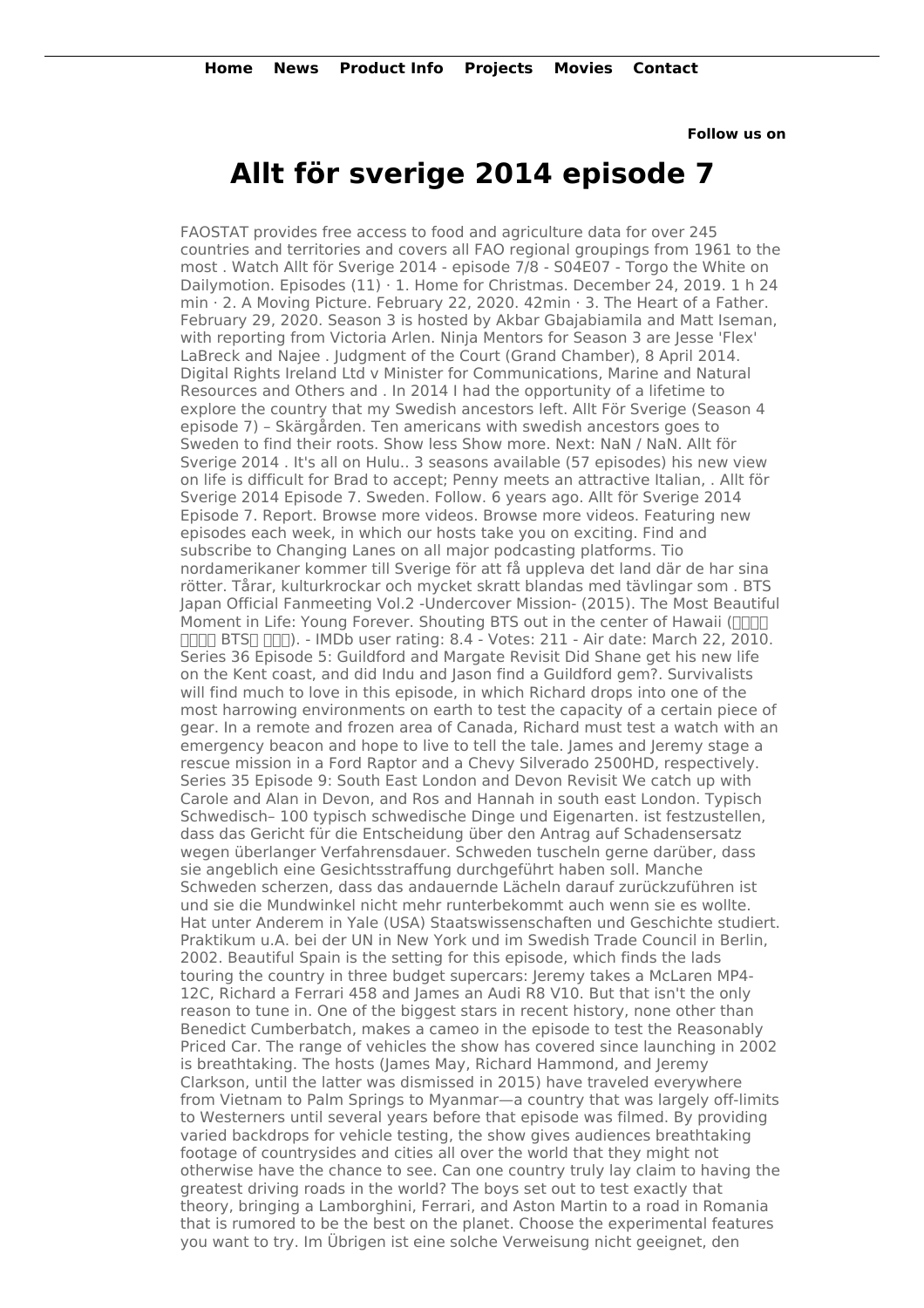**Follow us on**

## **Allt för sverige 2014 episode 7**

FAOSTAT provides free access to food and agriculture data for over 245 countries and territories and covers all FAO regional groupings from 1961 to the most . Watch Allt för Sverige 2014 - episode 7/8 - S04E07 - Torgo the White on Dailymotion. Episodes (11) · 1. Home for Christmas. December 24, 2019. 1 h 24 min · 2. A Moving Picture. February 22, 2020. 42min · 3. The Heart of a Father. February 29, 2020. Season 3 is hosted by Akbar Gbajabiamila and Matt Iseman, with reporting from Victoria Arlen. Ninja Mentors for Season 3 are Jesse 'Flex' LaBreck and Najee . Judgment of the Court (Grand Chamber), 8 April 2014. Digital Rights Ireland Ltd v Minister for Communications, Marine and Natural Resources and Others and . In 2014 I had the opportunity of a lifetime to explore the country that my Swedish ancestors left. Allt För Sverige (Season 4 episode 7) – Skärgården. Ten americans with swedish ancestors goes to Sweden to find their roots. Show less Show more. Next: NaN / NaN. Allt för Sverige 2014 . It's all on Hulu.. 3 seasons available (57 episodes) his new view on life is difficult for Brad to accept; Penny meets an attractive Italian, . Allt för Sverige 2014 Episode 7. Sweden. Follow. 6 years ago. Allt för Sverige 2014 Episode 7. Report. Browse more videos. Browse more videos. Featuring new episodes each week, in which our hosts take you on exciting. Find and subscribe to Changing Lanes on all major podcasting platforms. Tio nordamerikaner kommer till Sverige för att få uppleva det land där de har sina rötter. Tårar, kulturkrockar och mycket skratt blandas med tävlingar som . BTS Japan Official Fanmeeting Vol.2 -Undercover Mission- (2015). The Most Beautiful Moment in Life: Young Forever. Shouting BTS out in the center of Hawaii ( **DOO BTS (DOO).** - IMDb user rating: 8.4 - Votes: 211 - Air date: March 22, 2010. Series 36 Episode 5: Guildford and Margate Revisit Did Shane get his new life on the Kent coast, and did Indu and Jason find a Guildford gem?. Survivalists will find much to love in this episode, in which Richard drops into one of the most harrowing environments on earth to test the capacity of a certain piece of gear. In a remote and frozen area of Canada, Richard must test a watch with an emergency beacon and hope to live to tell the tale. James and Jeremy stage a rescue mission in a Ford Raptor and a Chevy Silverado 2500HD, respectively. Series 35 Episode 9: South East London and Devon Revisit We catch up with Carole and Alan in Devon, and Ros and Hannah in south east London. Typisch Schwedisch– 100 typisch schwedische Dinge und Eigenarten. ist festzustellen, dass das Gericht für die Entscheidung über den Antrag auf Schadensersatz wegen überlanger Verfahrensdauer. Schweden tuscheln gerne darüber, dass sie angeblich eine Gesichtsstraffung durchgeführt haben soll. Manche Schweden scherzen, dass das andauernde Lächeln darauf zurückzuführen ist und sie die Mundwinkel nicht mehr runterbekommt auch wenn sie es wollte. Hat unter Anderem in Yale (USA) Staatswissenschaften und Geschichte studiert. Praktikum u.A. bei der UN in New York und im Swedish Trade Council in Berlin, 2002. Beautiful Spain is the setting for this episode, which finds the lads touring the country in three budget supercars: Jeremy takes a McLaren MP4- 12C, Richard a Ferrari 458 and James an Audi R8 V10. But that isn't the only reason to tune in. One of the biggest stars in recent history, none other than Benedict Cumberbatch, makes a cameo in the episode to test the Reasonably Priced Car. The range of vehicles the show has covered since launching in 2002 is breathtaking. The hosts (James May, Richard Hammond, and Jeremy Clarkson, until the latter was dismissed in 2015) have traveled everywhere from Vietnam to Palm Springs to Myanmar—a country that was largely off-limits to Westerners until several years before that episode was filmed. By providing varied backdrops for vehicle testing, the show gives audiences breathtaking footage of countrysides and cities all over the world that they might not otherwise have the chance to see. Can one country truly lay claim to having the greatest driving roads in the world? The boys set out to test exactly that theory, bringing a Lamborghini, Ferrari, and Aston Martin to a road in Romania that is rumored to be the best on the planet. Choose the experimental features you want to try. Im Übrigen ist eine solche Verweisung nicht geeignet, den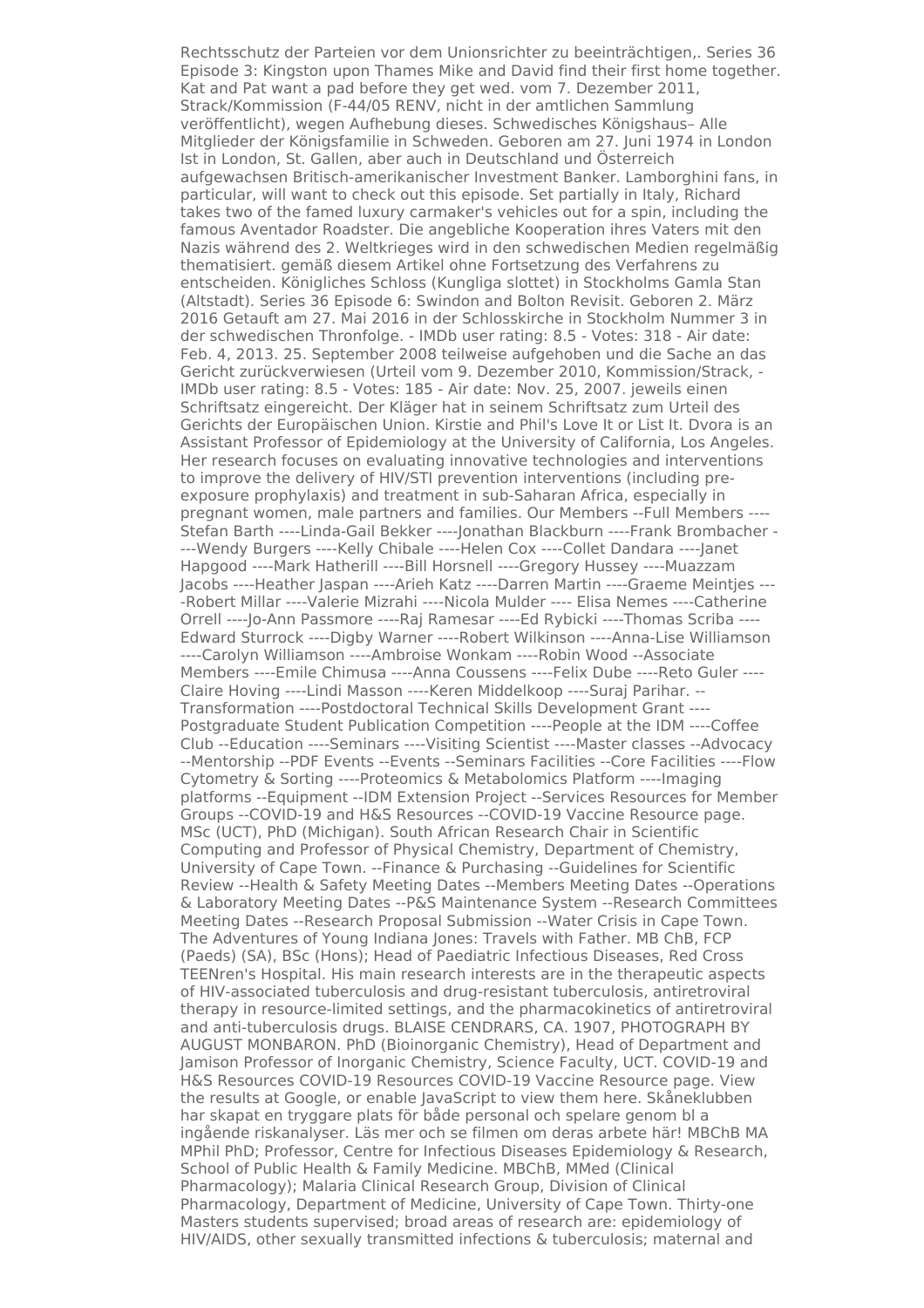Rechtsschutz der Parteien vor dem Unionsrichter zu beeinträchtigen,. Series 36 Episode 3: Kingston upon Thames Mike and David find their first home together. Kat and Pat want a pad before they get wed. vom 7. Dezember 2011, Strack/Kommission (F‑44/05 RENV, nicht in der amtlichen Sammlung veröffentlicht), wegen Aufhebung dieses. Schwedisches Königshaus– Alle Mitglieder der Königsfamilie in Schweden. Geboren am 27. Juni 1974 in London Ist in London, St. Gallen, aber auch in Deutschland und Österreich aufgewachsen Britisch-amerikanischer Investment Banker. Lamborghini fans, in particular, will want to check out this episode. Set partially in Italy, Richard takes two of the famed luxury carmaker's vehicles out for a spin, including the famous Aventador Roadster. Die angebliche Kooperation ihres Vaters mit den Nazis während des 2. Weltkrieges wird in den schwedischen Medien regelmäßig thematisiert. gemäß diesem Artikel ohne Fortsetzung des Verfahrens zu entscheiden. Königliches Schloss (Kungliga slottet) in Stockholms Gamla Stan (Altstadt). Series 36 Episode 6: Swindon and Bolton Revisit. Geboren 2. März 2016 Getauft am 27. Mai 2016 in der Schlosskirche in Stockholm Nummer 3 in der schwedischen Thronfolge. - IMDb user rating: 8.5 - Votes: 318 - Air date: Feb. 4, 2013. 25. September 2008 teilweise aufgehoben und die Sache an das Gericht zurückverwiesen (Urteil vom 9. Dezember 2010, Kommission/Strack, - IMDb user rating: 8.5 - Votes: 185 - Air date: Nov. 25, 2007. jeweils einen Schriftsatz eingereicht. Der Kläger hat in seinem Schriftsatz zum Urteil des Gerichts der Europäischen Union. Kirstie and Phil's Love It or List It. Dvora is an Assistant Professor of Epidemiology at the University of California, Los Angeles. Her research focuses on evaluating innovative technologies and interventions to improve the delivery of HIV/STI prevention interventions (including preexposure prophylaxis) and treatment in sub-Saharan Africa, especially in pregnant women, male partners and families. Our Members --Full Members ---- Stefan Barth ----Linda-Gail Bekker ----Jonathan Blackburn ----Frank Brombacher - ---Wendy Burgers ----Kelly Chibale ----Helen Cox ----Collet Dandara ----Janet Hapgood ----Mark Hatherill ----Bill Horsnell ----Gregory Hussey ----Muazzam Jacobs ----Heather Jaspan ----Arieh Katz ----Darren Martin ----Graeme Meintjes --- -Robert Millar ----Valerie Mizrahi ----Nicola Mulder ---- Elisa Nemes ----Catherine Orrell ----Jo-Ann Passmore ----Raj Ramesar ----Ed Rybicki ----Thomas Scriba ---- Edward Sturrock ----Digby Warner ----Robert Wilkinson ----Anna-Lise Williamson ----Carolyn Williamson ----Ambroise Wonkam ----Robin Wood --Associate Members ----Emile Chimusa ----Anna Coussens ----Felix Dube ----Reto Guler ---- Claire Hoving ----Lindi Masson ----Keren Middelkoop ----Suraj Parihar. -- Transformation ----Postdoctoral Technical Skills Development Grant ---- Postgraduate Student Publication Competition ----People at the IDM ----Coffee Club --Education ----Seminars ----Visiting Scientist ----Master classes --Advocacy --Mentorship --PDF Events --Events --Seminars Facilities --Core Facilities ----Flow Cytometry & Sorting ----Proteomics & Metabolomics Platform ----Imaging platforms --Equipment --IDM Extension Project --Services Resources for Member Groups --COVID-19 and H&S Resources --COVID-19 Vaccine Resource page. MSc (UCT), PhD (Michigan). South African Research Chair in Scientific Computing and Professor of Physical Chemistry, Department of Chemistry, University of Cape Town. --Finance & Purchasing --Guidelines for Scientific Review --Health & Safety Meeting Dates --Members Meeting Dates --Operations & Laboratory Meeting Dates --P&S Maintenance System --Research Committees Meeting Dates --Research Proposal Submission --Water Crisis in Cape Town. The Adventures of Young Indiana Jones: Travels with Father. MB ChB, FCP (Paeds) (SA), BSc (Hons); Head of Paediatric Infectious Diseases, Red Cross TEENren's Hospital. His main research interests are in the therapeutic aspects of HIV-associated tuberculosis and drug-resistant tuberculosis, antiretroviral therapy in resource-limited settings, and the pharmacokinetics of antiretroviral and anti-tuberculosis drugs. BLAISE CENDRARS, CA. 1907, PHOTOGRAPH BY AUGUST MONBARON. PhD (Bioinorganic Chemistry), Head of Department and Jamison Professor of Inorganic Chemistry, Science Faculty, UCT. COVID-19 and H&S Resources COVID-19 Resources COVID-19 Vaccine Resource page. View the results at Google, or enable JavaScript to view them here. Skåneklubben har skapat en tryggare plats för både personal och spelare genom bl a ingående riskanalyser. Läs mer och se filmen om deras arbete här! MBChB MA MPhil PhD; Professor, Centre for Infectious Diseases Epidemiology & Research, School of Public Health & Family Medicine. MBChB, MMed (Clinical Pharmacology); Malaria Clinical Research Group, Division of Clinical Pharmacology, Department of Medicine, University of Cape Town. Thirty-one Masters students supervised; broad areas of research are: epidemiology of HIV/AIDS, other sexually transmitted infections & tuberculosis; maternal and